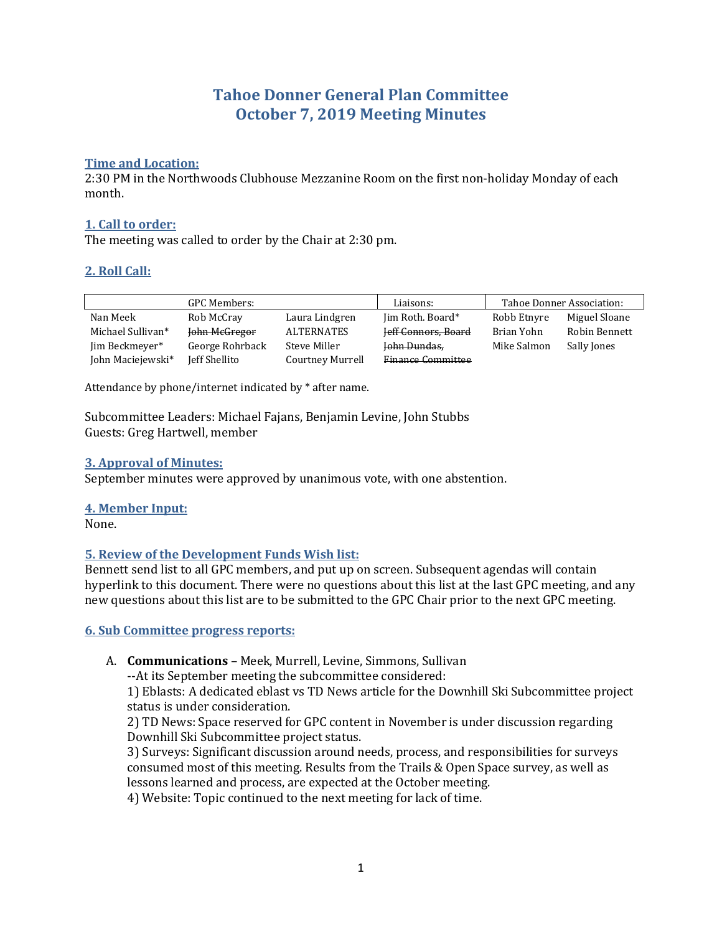# **Tahoe Donner General Plan Committee October 7, 2019 Meeting Minutes**

#### **Time and Location:**

2:30 PM in the Northwoods Clubhouse Mezzanine Room on the first non-holiday Monday of each month.

#### **1. Call to order:**

The meeting was called to order by the Chair at 2:30 pm.

#### **2. Roll Call:**

| <b>GPC Members:</b> |                 |                   | Liaisons:           | Tahoe Donner Association: |               |
|---------------------|-----------------|-------------------|---------------------|---------------------------|---------------|
| Nan Meek            | Rob McCray      | Laura Lindgren    | Jim Roth. Board*    | Robb Etnyre               | Miguel Sloane |
| Michael Sullivan*   | John McGregor   | <b>ALTERNATES</b> | Jeff Connors, Board | Brian Yohn                | Robin Bennett |
| Jim Beckmeyer*      | George Rohrback | Steve Miller      | John Dundas,        | Mike Salmon               | Sally Jones   |
| John Maciejewski*   | Jeff Shellito   | Courtney Murrell  | Finance Committee   |                           |               |

Attendance by phone/internet indicated by \* after name.

Subcommittee Leaders: Michael Fajans, Benjamin Levine, John Stubbs Guests: Greg Hartwell, member

#### **3. Approval of Minutes:**

September minutes were approved by unanimous vote, with one abstention.

#### **4. Member Input:**

None.

#### **5. Review of the Development Funds Wish list:**

Bennett send list to all GPC members, and put up on screen. Subsequent agendas will contain hyperlink to this document. There were no questions about this list at the last GPC meeting, and any new questions about this list are to be submitted to the GPC Chair prior to the next GPC meeting.

#### **6. Sub Committee progress reports:**

A. **Communications** – Meek, Murrell, Levine, Simmons, Sullivan

--At its September meeting the subcommittee considered:

1) Eblasts: A dedicated eblast vs TD News article for the Downhill Ski Subcommittee project status is under consideration.

2) TD News: Space reserved for GPC content in November is under discussion regarding Downhill Ski Subcommittee project status.

3) Surveys: Significant discussion around needs, process, and responsibilities for surveys consumed most of this meeting. Results from the Trails & Open Space survey, as well as lessons learned and process, are expected at the October meeting.

4) Website: Topic continued to the next meeting for lack of time.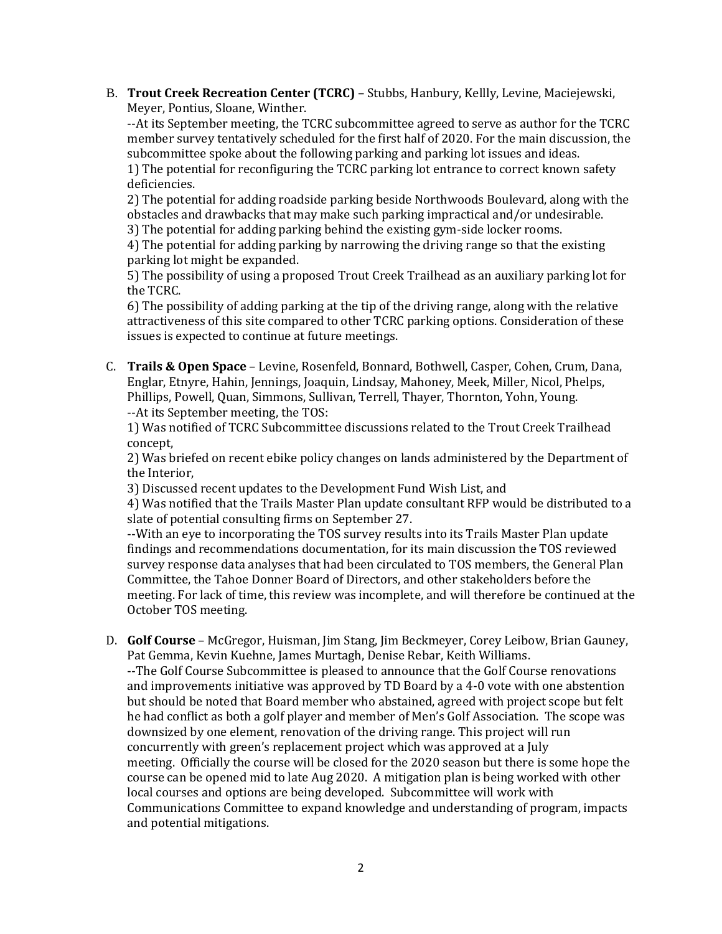B. **Trout Creek Recreation Center (TCRC)** – Stubbs, Hanbury, Kellly, Levine, Maciejewski, Meyer, Pontius, Sloane, Winther.

--At its September meeting, the TCRC subcommittee agreed to serve as author for the TCRC member survey tentatively scheduled for the first half of 2020. For the main discussion, the subcommittee spoke about the following parking and parking lot issues and ideas. 1) The potential for reconfiguring the TCRC parking lot entrance to correct known safety deficiencies.

2) The potential for adding roadside parking beside Northwoods Boulevard, along with the obstacles and drawbacks that may make such parking impractical and/or undesirable. 3) The potential for adding parking behind the existing gym-side locker rooms.

4) The potential for adding parking by narrowing the driving range so that the existing parking lot might be expanded.

5) The possibility of using a proposed Trout Creek Trailhead as an auxiliary parking lot for the TCRC.

6) The possibility of adding parking at the tip of the driving range, along with the relative attractiveness of this site compared to other TCRC parking options. Consideration of these issues is expected to continue at future meetings.

C. **Trails & Open Space** – Levine, Rosenfeld, Bonnard, Bothwell, Casper, Cohen, Crum, Dana, Englar, Etnyre, Hahin, Jennings, Joaquin, Lindsay, Mahoney, Meek, Miller, Nicol, Phelps, Phillips, Powell, Quan, Simmons, Sullivan, Terrell, Thayer, Thornton, Yohn, Young. --At its September meeting, the TOS:

1) Was notified of TCRC Subcommittee discussions related to the Trout Creek Trailhead concept,

2) Was briefed on recent ebike policy changes on lands administered by the Department of the Interior,

3) Discussed recent updates to the Development Fund Wish List, and

4) Was notified that the Trails Master Plan update consultant RFP would be distributed to a slate of potential consulting firms on September 27.

--With an eye to incorporating the TOS survey results into its Trails Master Plan update findings and recommendations documentation, for its main discussion the TOS reviewed survey response data analyses that had been circulated to TOS members, the General Plan Committee, the Tahoe Donner Board of Directors, and other stakeholders before the meeting. For lack of time, this review was incomplete, and will therefore be continued at the October TOS meeting.

D. **Golf Course** – McGregor, Huisman, Jim Stang, Jim Beckmeyer, Corey Leibow, Brian Gauney, Pat Gemma, Kevin Kuehne, James Murtagh, Denise Rebar, Keith Williams.

--The Golf Course Subcommittee is pleased to announce that the Golf Course renovations and improvements initiative was approved by TD Board by a 4-0 vote with one abstention but should be noted that Board member who abstained, agreed with project scope but felt he had conflict as both a golf player and member of Men's Golf Association. The scope was downsized by one element, renovation of the driving range. This project will run concurrently with green's replacement project which was approved at a July meeting. Officially the course will be closed for the 2020 season but there is some hope the course can be opened mid to late Aug 2020. A mitigation plan is being worked with other local courses and options are being developed. Subcommittee will work with Communications Committee to expand knowledge and understanding of program, impacts and potential mitigations.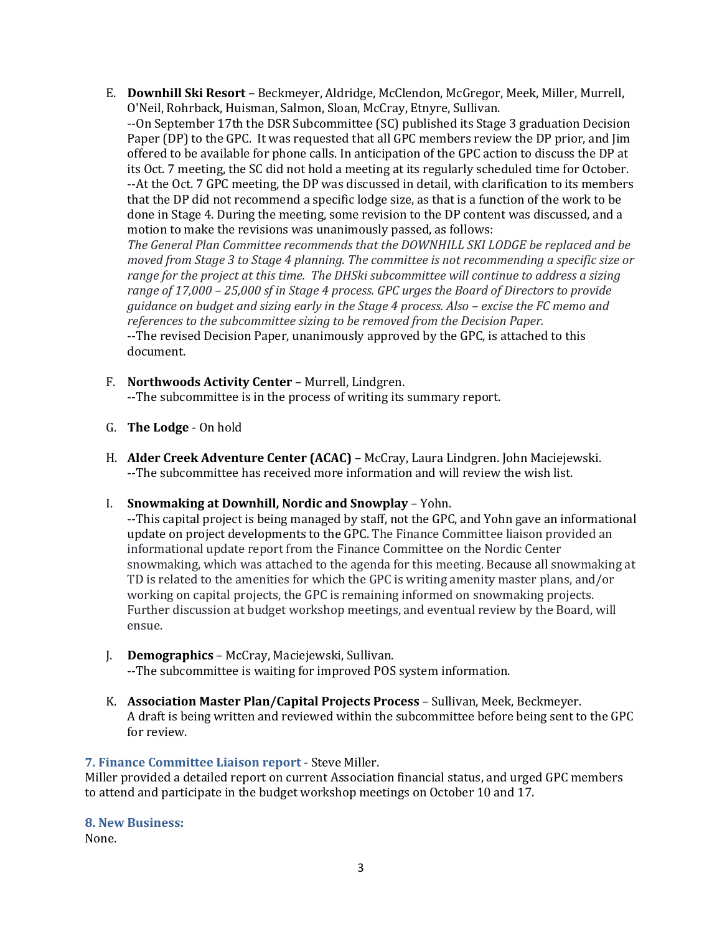E. **Downhill Ski Resort** – Beckmeyer, Aldridge, McClendon, McGregor, Meek, Miller, Murrell, O'Neil, Rohrback, Huisman, Salmon, Sloan, McCray, Etnyre, Sullivan.

--On September 17th the DSR Subcommittee (SC) published its Stage 3 graduation Decision Paper (DP) to the GPC. It was requested that all GPC members review the DP prior, and Jim offered to be available for phone calls. In anticipation of the GPC action to discuss the DP at its Oct. 7 meeting, the SC did not hold a meeting at its regularly scheduled time for October. --At the Oct. 7 GPC meeting, the DP was discussed in detail, with clarification to its members that the DP did not recommend a specific lodge size, as that is a function of the work to be done in Stage 4. During the meeting, some revision to the DP content was discussed, and a motion to make the revisions was unanimously passed, as follows:

*The General Plan Committee recommends that the DOWNHILL SKI LODGE be replaced and be moved from Stage 3 to Stage 4 planning. The committee is not recommending a specific size or range for the project at this time. The DHSki subcommittee will continue to address a sizing range of 17,000 – 25,000 sf in Stage 4 process. GPC urges the Board of Directors to provide guidance on budget and sizing early in the Stage 4 process. Also – excise the FC memo and references to the subcommittee sizing to be removed from the Decision Paper.* --The revised Decision Paper, unanimously approved by the GPC, is attached to this

- F. **Northwoods Activity Center** Murrell, Lindgren. --The subcommittee is in the process of writing its summary report.
- G. **The Lodge** On hold

document.

- H. **Alder Creek Adventure Center (ACAC)** McCray, Laura Lindgren. John Maciejewski. --The subcommittee has received more information and will review the wish list.
- I. **Snowmaking at Downhill, Nordic and Snowplay** Yohn.

--This capital project is being managed by staff, not the GPC, and Yohn gave an informational update on project developments to the GPC. The Finance Committee liaison provided an informational update report from the Finance Committee on the Nordic Center snowmaking, which was attached to the agenda for this meeting. Because all snowmaking at TD is related to the amenities for which the GPC is writing amenity master plans, and/or working on capital projects, the GPC is remaining informed on snowmaking projects. Further discussion at budget workshop meetings, and eventual review by the Board, will ensue.

- J. **Demographics** McCray, Maciejewski, Sullivan. --The subcommittee is waiting for improved POS system information.
- K. **Association Master Plan/Capital Projects Process**  Sullivan, Meek, Beckmeyer. A draft is being written and reviewed within the subcommittee before being sent to the GPC for review.

## **7. Finance Committee Liaison report** - Steve Miller.

Miller provided a detailed report on current Association financial status, and urged GPC members to attend and participate in the budget workshop meetings on October 10 and 17.

**8. New Business:**

None.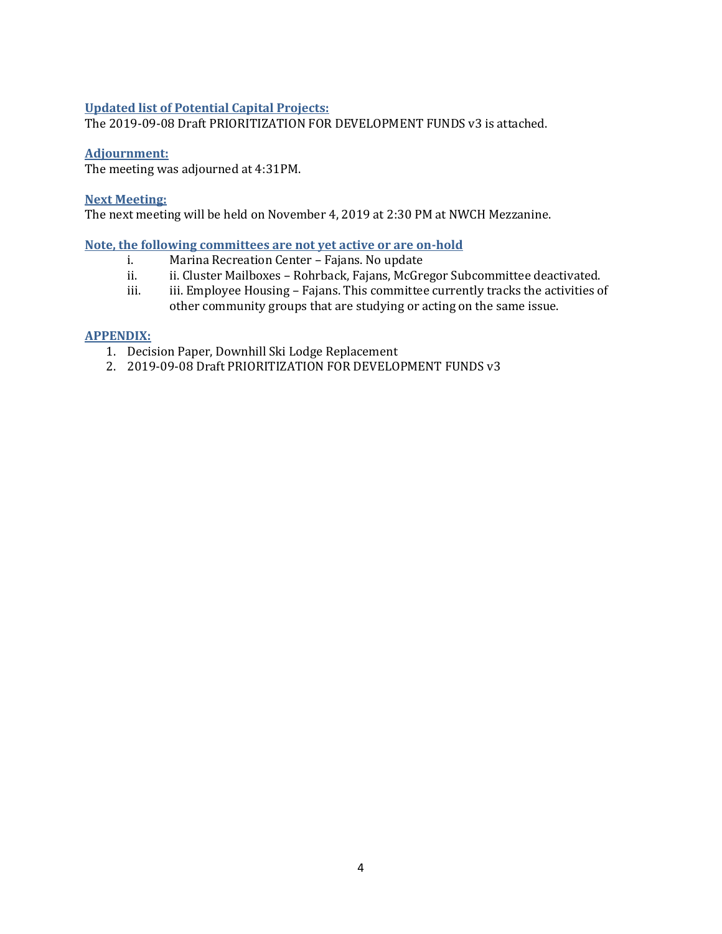#### **Updated list of Potential Capital Projects:**

The 2019-09-08 Draft PRIORITIZATION FOR DEVELOPMENT FUNDS v3 is attached.

#### **Adjournment:**

The meeting was adjourned at 4:31PM.

#### **Next Meeting:**

The next meeting will be held on November 4, 2019 at 2:30 PM at NWCH Mezzanine.

#### **Note, the following committees are not yet active or are on-hold**

- i. Marina Recreation Center Fajans. No update
- ii. ii. Cluster Mailboxes Rohrback, Fajans, McGregor Subcommittee deactivated.
- iii. iii. Employee Housing Fajans. This committee currently tracks the activities of other community groups that are studying or acting on the same issue.

#### **APPENDIX:**

- 1. Decision Paper, Downhill Ski Lodge Replacement
- 2. 2019-09-08 Draft PRIORITIZATION FOR DEVELOPMENT FUNDS v3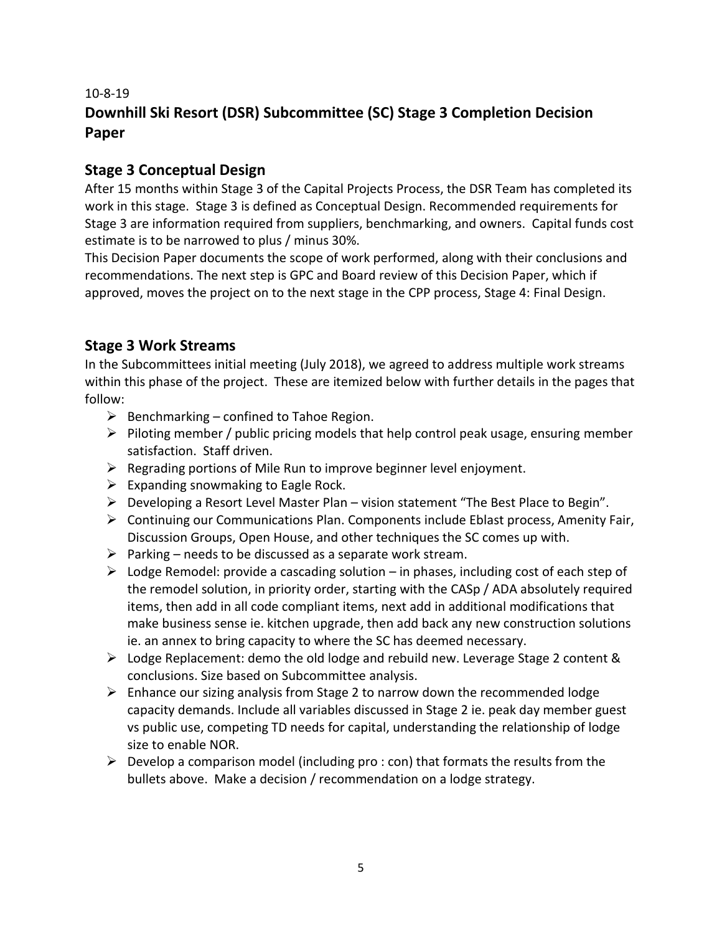# 10-8-19 **Downhill Ski Resort (DSR) Subcommittee (SC) Stage 3 Completion Decision Paper**

## **Stage 3 Conceptual Design**

After 15 months within Stage 3 of the Capital Projects Process, the DSR Team has completed its work in this stage. Stage 3 is defined as Conceptual Design. Recommended requirements for Stage 3 are information required from suppliers, benchmarking, and owners. Capital funds cost estimate is to be narrowed to plus / minus 30%.

This Decision Paper documents the scope of work performed, along with their conclusions and recommendations. The next step is GPC and Board review of this Decision Paper, which if approved, moves the project on to the next stage in the CPP process, Stage 4: Final Design.

# **Stage 3 Work Streams**

In the Subcommittees initial meeting (July 2018), we agreed to address multiple work streams within this phase of the project. These are itemized below with further details in the pages that follow:

- $\triangleright$  Benchmarking confined to Tahoe Region.
- $\triangleright$  Piloting member / public pricing models that help control peak usage, ensuring member satisfaction. Staff driven.
- ➢ Regrading portions of Mile Run to improve beginner level enjoyment.
- $\triangleright$  Expanding snowmaking to Eagle Rock.
- $\triangleright$  Developing a Resort Level Master Plan vision statement "The Best Place to Begin".
- $\triangleright$  Continuing our Communications Plan. Components include Eblast process, Amenity Fair, Discussion Groups, Open House, and other techniques the SC comes up with.
- $\triangleright$  Parking needs to be discussed as a separate work stream.
- $\triangleright$  Lodge Remodel: provide a cascading solution in phases, including cost of each step of the remodel solution, in priority order, starting with the CASp / ADA absolutely required items, then add in all code compliant items, next add in additional modifications that make business sense ie. kitchen upgrade, then add back any new construction solutions ie. an annex to bring capacity to where the SC has deemed necessary.
- ➢ Lodge Replacement: demo the old lodge and rebuild new. Leverage Stage 2 content & conclusions. Size based on Subcommittee analysis.
- $\triangleright$  Enhance our sizing analysis from Stage 2 to narrow down the recommended lodge capacity demands. Include all variables discussed in Stage 2 ie. peak day member guest vs public use, competing TD needs for capital, understanding the relationship of lodge size to enable NOR.
- $\triangleright$  Develop a comparison model (including pro : con) that formats the results from the bullets above. Make a decision / recommendation on a lodge strategy.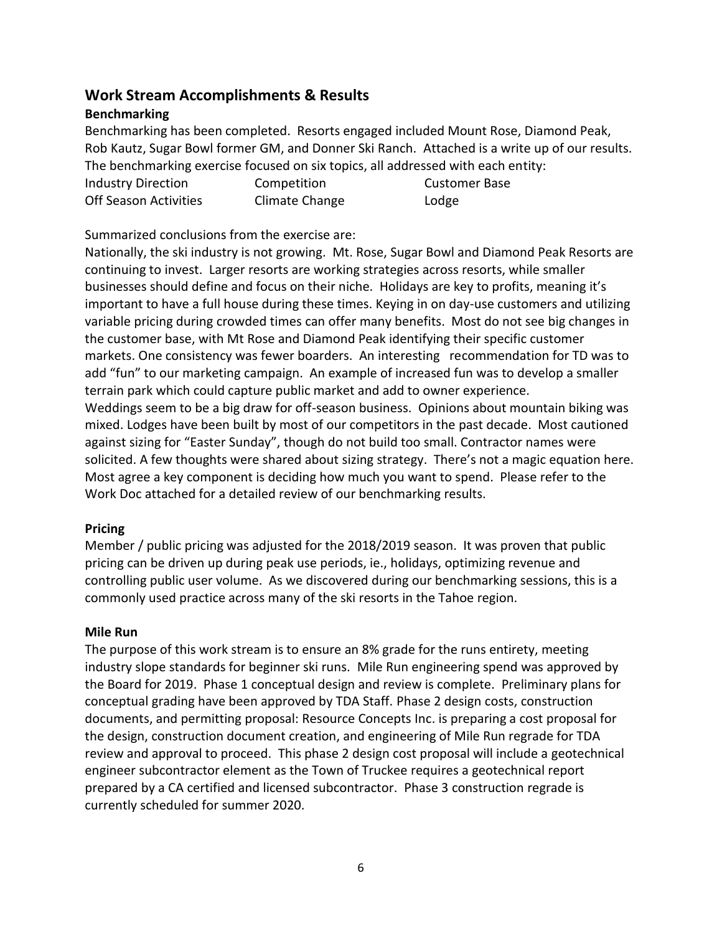## **Work Stream Accomplishments & Results**

### **Benchmarking**

Benchmarking has been completed. Resorts engaged included Mount Rose, Diamond Peak, Rob Kautz, Sugar Bowl former GM, and Donner Ski Ranch. Attached is a write up of our results. The benchmarking exercise focused on six topics, all addressed with each entity: Industry Direction Competition Customer Base Off Season Activities Climate Change Constants Lodge

Summarized conclusions from the exercise are:

Nationally, the ski industry is not growing. Mt. Rose, Sugar Bowl and Diamond Peak Resorts are continuing to invest. Larger resorts are working strategies across resorts, while smaller businesses should define and focus on their niche. Holidays are key to profits, meaning it's important to have a full house during these times. Keying in on day-use customers and utilizing variable pricing during crowded times can offer many benefits. Most do not see big changes in the customer base, with Mt Rose and Diamond Peak identifying their specific customer markets. One consistency was fewer boarders. An interesting recommendation for TD was to add "fun" to our marketing campaign. An example of increased fun was to develop a smaller terrain park which could capture public market and add to owner experience. Weddings seem to be a big draw for off-season business. Opinions about mountain biking was mixed. Lodges have been built by most of our competitors in the past decade. Most cautioned against sizing for "Easter Sunday", though do not build too small. Contractor names were solicited. A few thoughts were shared about sizing strategy. There's not a magic equation here.

Most agree a key component is deciding how much you want to spend. Please refer to the Work Doc attached for a detailed review of our benchmarking results.

#### **Pricing**

Member / public pricing was adjusted for the 2018/2019 season. It was proven that public pricing can be driven up during peak use periods, ie., holidays, optimizing revenue and controlling public user volume. As we discovered during our benchmarking sessions, this is a commonly used practice across many of the ski resorts in the Tahoe region.

#### **Mile Run**

The purpose of this work stream is to ensure an 8% grade for the runs entirety, meeting industry slope standards for beginner ski runs. Mile Run engineering spend was approved by the Board for 2019. Phase 1 conceptual design and review is complete. Preliminary plans for conceptual grading have been approved by TDA Staff. Phase 2 design costs, construction documents, and permitting proposal: Resource Concepts Inc. is preparing a cost proposal for the design, construction document creation, and engineering of Mile Run regrade for TDA review and approval to proceed. This phase 2 design cost proposal will include a geotechnical engineer subcontractor element as the Town of Truckee requires a geotechnical report prepared by a CA certified and licensed subcontractor. Phase 3 construction regrade is currently scheduled for summer 2020.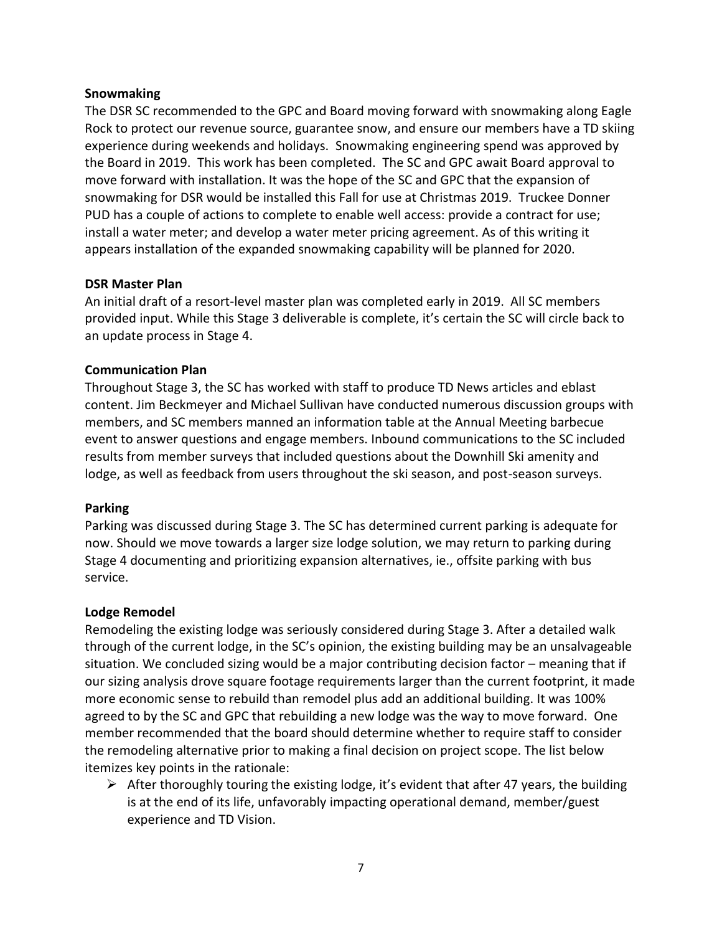#### **Snowmaking**

The DSR SC recommended to the GPC and Board moving forward with snowmaking along Eagle Rock to protect our revenue source, guarantee snow, and ensure our members have a TD skiing experience during weekends and holidays. Snowmaking engineering spend was approved by the Board in 2019. This work has been completed. The SC and GPC await Board approval to move forward with installation. It was the hope of the SC and GPC that the expansion of snowmaking for DSR would be installed this Fall for use at Christmas 2019. Truckee Donner PUD has a couple of actions to complete to enable well access: provide a contract for use; install a water meter; and develop a water meter pricing agreement. As of this writing it appears installation of the expanded snowmaking capability will be planned for 2020.

#### **DSR Master Plan**

An initial draft of a resort-level master plan was completed early in 2019. All SC members provided input. While this Stage 3 deliverable is complete, it's certain the SC will circle back to an update process in Stage 4.

#### **Communication Plan**

Throughout Stage 3, the SC has worked with staff to produce TD News articles and eblast content. Jim Beckmeyer and Michael Sullivan have conducted numerous discussion groups with members, and SC members manned an information table at the Annual Meeting barbecue event to answer questions and engage members. Inbound communications to the SC included results from member surveys that included questions about the Downhill Ski amenity and lodge, as well as feedback from users throughout the ski season, and post-season surveys.

#### **Parking**

Parking was discussed during Stage 3. The SC has determined current parking is adequate for now. Should we move towards a larger size lodge solution, we may return to parking during Stage 4 documenting and prioritizing expansion alternatives, ie., offsite parking with bus service.

#### **Lodge Remodel**

Remodeling the existing lodge was seriously considered during Stage 3. After a detailed walk through of the current lodge, in the SC's opinion, the existing building may be an unsalvageable situation. We concluded sizing would be a major contributing decision factor – meaning that if our sizing analysis drove square footage requirements larger than the current footprint, it made more economic sense to rebuild than remodel plus add an additional building. It was 100% agreed to by the SC and GPC that rebuilding a new lodge was the way to move forward. One member recommended that the board should determine whether to require staff to consider the remodeling alternative prior to making a final decision on project scope. The list below itemizes key points in the rationale:

 $\triangleright$  After thoroughly touring the existing lodge, it's evident that after 47 years, the building is at the end of its life, unfavorably impacting operational demand, member/guest experience and TD Vision.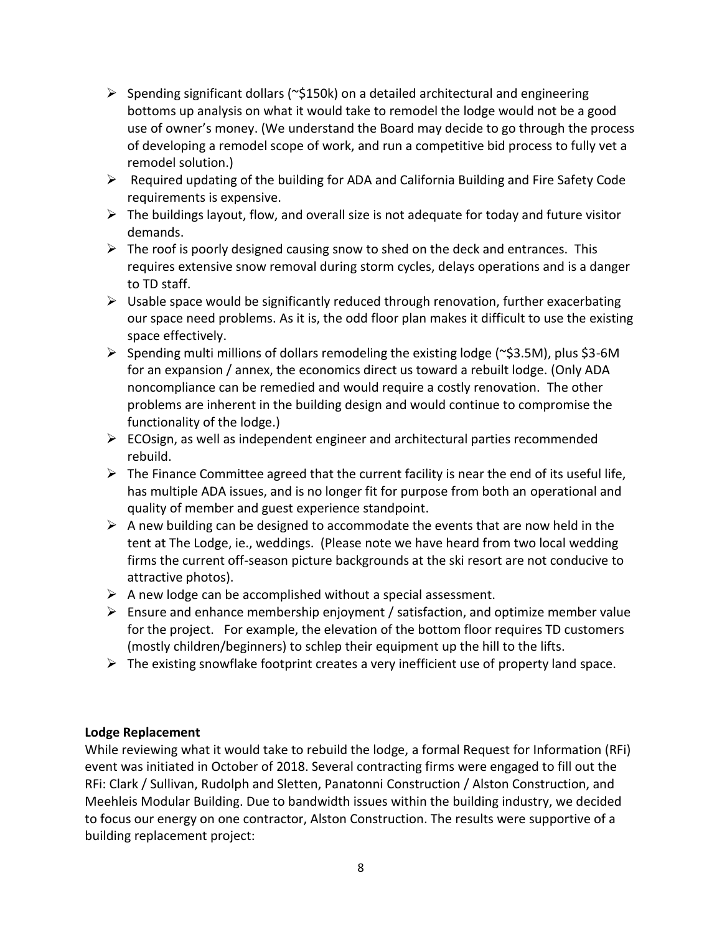- $\triangleright$  Spending significant dollars ( $\sim$ \$150k) on a detailed architectural and engineering bottoms up analysis on what it would take to remodel the lodge would not be a good use of owner's money. (We understand the Board may decide to go through the process of developing a remodel scope of work, and run a competitive bid process to fully vet a remodel solution.)
- $\triangleright$  Required updating of the building for ADA and California Building and Fire Safety Code requirements is expensive.
- $\triangleright$  The buildings layout, flow, and overall size is not adequate for today and future visitor demands.
- $\triangleright$  The roof is poorly designed causing snow to shed on the deck and entrances. This requires extensive snow removal during storm cycles, delays operations and is a danger to TD staff.
- $\triangleright$  Usable space would be significantly reduced through renovation, further exacerbating our space need problems. As it is, the odd floor plan makes it difficult to use the existing space effectively.
- ➢ Spending multi millions of dollars remodeling the existing lodge (~\$3.5M), plus \$3-6M for an expansion / annex, the economics direct us toward a rebuilt lodge. (Only ADA noncompliance can be remedied and would require a costly renovation. The other problems are inherent in the building design and would continue to compromise the functionality of the lodge.)
- $\triangleright$  ECOsign, as well as independent engineer and architectural parties recommended rebuild.
- $\triangleright$  The Finance Committee agreed that the current facility is near the end of its useful life, has multiple ADA issues, and is no longer fit for purpose from both an operational and quality of member and guest experience standpoint.
- $\triangleright$  A new building can be designed to accommodate the events that are now held in the tent at The Lodge, ie., weddings. (Please note we have heard from two local wedding firms the current off-season picture backgrounds at the ski resort are not conducive to attractive photos).
- $\triangleright$  A new lodge can be accomplished without a special assessment.
- $\triangleright$  Ensure and enhance membership enjoyment / satisfaction, and optimize member value for the project. For example, the elevation of the bottom floor requires TD customers (mostly children/beginners) to schlep their equipment up the hill to the lifts.
- $\triangleright$  The existing snowflake footprint creates a very inefficient use of property land space.

## **Lodge Replacement**

While reviewing what it would take to rebuild the lodge, a formal Request for Information (RFi) event was initiated in October of 2018. Several contracting firms were engaged to fill out the RFi: Clark / Sullivan, Rudolph and Sletten, Panatonni Construction / Alston Construction, and Meehleis Modular Building. Due to bandwidth issues within the building industry, we decided to focus our energy on one contractor, Alston Construction. The results were supportive of a building replacement project: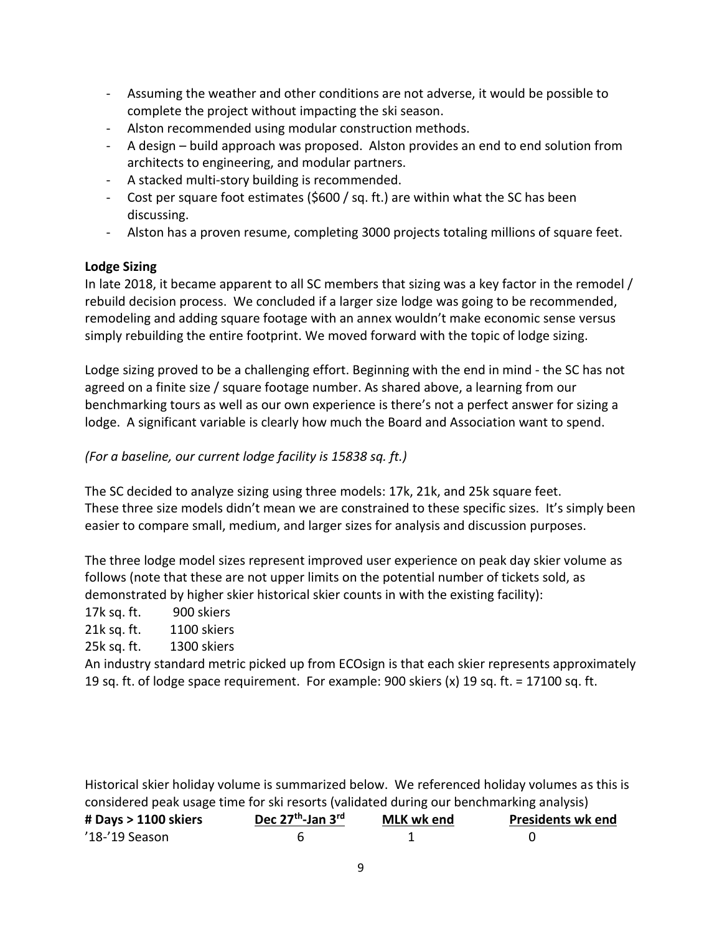- Assuming the weather and other conditions are not adverse, it would be possible to complete the project without impacting the ski season.
- Alston recommended using modular construction methods.
- A design build approach was proposed. Alston provides an end to end solution from architects to engineering, and modular partners.
- A stacked multi-story building is recommended.
- Cost per square foot estimates (\$600 / sq. ft.) are within what the SC has been discussing.
- Alston has a proven resume, completing 3000 projects totaling millions of square feet.

## **Lodge Sizing**

In late 2018, it became apparent to all SC members that sizing was a key factor in the remodel / rebuild decision process. We concluded if a larger size lodge was going to be recommended, remodeling and adding square footage with an annex wouldn't make economic sense versus simply rebuilding the entire footprint. We moved forward with the topic of lodge sizing.

Lodge sizing proved to be a challenging effort. Beginning with the end in mind - the SC has not agreed on a finite size / square footage number. As shared above, a learning from our benchmarking tours as well as our own experience is there's not a perfect answer for sizing a lodge. A significant variable is clearly how much the Board and Association want to spend.

*(For a baseline, our current lodge facility is 15838 sq. ft.)*

The SC decided to analyze sizing using three models: 17k, 21k, and 25k square feet. These three size models didn't mean we are constrained to these specific sizes. It's simply been easier to compare small, medium, and larger sizes for analysis and discussion purposes.

The three lodge model sizes represent improved user experience on peak day skier volume as follows (note that these are not upper limits on the potential number of tickets sold, as demonstrated by higher skier historical skier counts in with the existing facility):

17k sq. ft. 900 skiers

21k sq. ft. 1100 skiers

25k sq. ft. 1300 skiers

An industry standard metric picked up from ECOsign is that each skier represents approximately 19 sq. ft. of lodge space requirement. For example: 900 skiers (x) 19 sq. ft. = 17100 sq. ft.

Historical skier holiday volume is summarized below. We referenced holiday volumes as this is considered peak usage time for ski resorts (validated during our benchmarking analysis) **# Days > 1100 skiers Dec 27th MLK wk end Presidents wk end** '18-'19 Season 6 1 0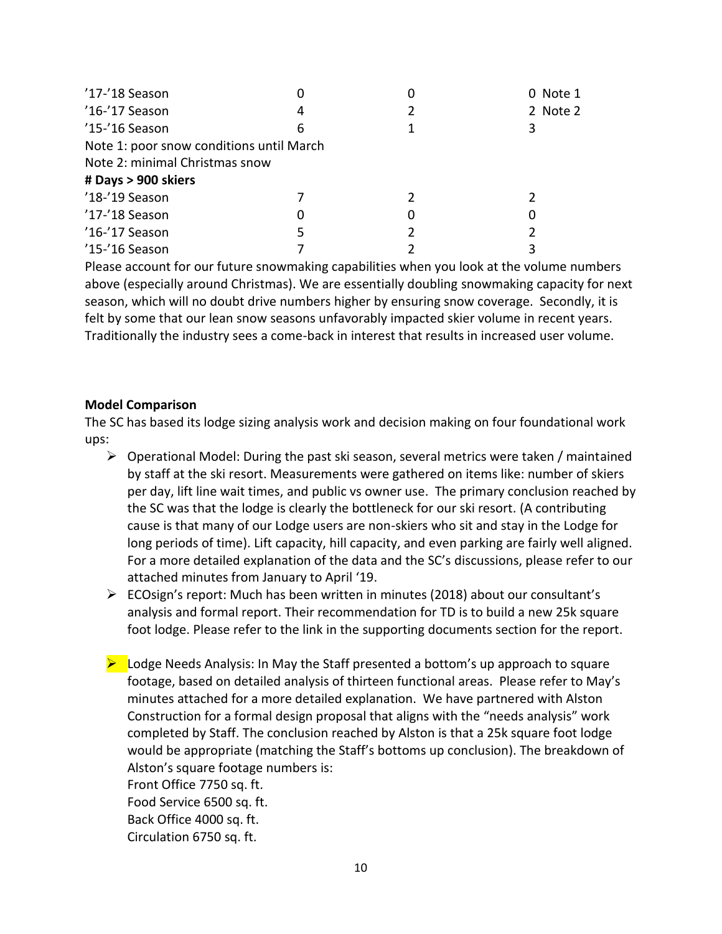| '17-'18 Season                           |   |   | 0 Note 1 |  |  |  |
|------------------------------------------|---|---|----------|--|--|--|
| '16-'17 Season                           | 4 |   | 2 Note 2 |  |  |  |
| '15-'16 Season                           | 6 |   |          |  |  |  |
| Note 1: poor snow conditions until March |   |   |          |  |  |  |
| Note 2: minimal Christmas snow           |   |   |          |  |  |  |
| # Days > 900 skiers                      |   |   |          |  |  |  |
| '18-'19 Season                           |   |   |          |  |  |  |
| '17-'18 Season                           |   | 0 | 0        |  |  |  |
| '16-'17 Season                           | 5 |   |          |  |  |  |
| '15-'16 Season                           |   |   |          |  |  |  |

Please account for our future snowmaking capabilities when you look at the volume numbers above (especially around Christmas). We are essentially doubling snowmaking capacity for next season, which will no doubt drive numbers higher by ensuring snow coverage. Secondly, it is felt by some that our lean snow seasons unfavorably impacted skier volume in recent years. Traditionally the industry sees a come-back in interest that results in increased user volume.

#### **Model Comparison**

The SC has based its lodge sizing analysis work and decision making on four foundational work ups:

- $\triangleright$  Operational Model: During the past ski season, several metrics were taken / maintained by staff at the ski resort. Measurements were gathered on items like: number of skiers per day, lift line wait times, and public vs owner use. The primary conclusion reached by the SC was that the lodge is clearly the bottleneck for our ski resort. (A contributing cause is that many of our Lodge users are non-skiers who sit and stay in the Lodge for long periods of time). Lift capacity, hill capacity, and even parking are fairly well aligned. For a more detailed explanation of the data and the SC's discussions, please refer to our attached minutes from January to April '19.
- $\triangleright$  ECOsign's report: Much has been written in minutes (2018) about our consultant's analysis and formal report. Their recommendation for TD is to build a new 25k square foot lodge. Please refer to the link in the supporting documents section for the report.
- $\blacktriangleright$  Lodge Needs Analysis: In May the Staff presented a bottom's up approach to square footage, based on detailed analysis of thirteen functional areas. Please refer to May's minutes attached for a more detailed explanation. We have partnered with Alston Construction for a formal design proposal that aligns with the "needs analysis" work completed by Staff. The conclusion reached by Alston is that a 25k square foot lodge would be appropriate (matching the Staff's bottoms up conclusion). The breakdown of Alston's square footage numbers is:

Front Office 7750 sq. ft.

Food Service 6500 sq. ft.

Back Office 4000 sq. ft.

Circulation 6750 sq. ft.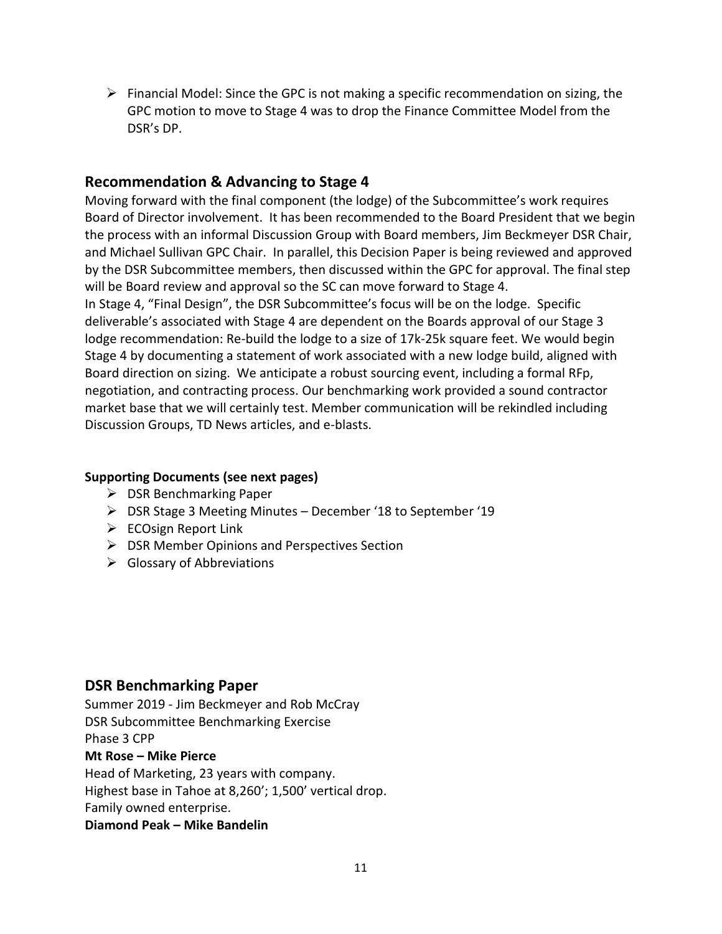$\triangleright$  Financial Model: Since the GPC is not making a specific recommendation on sizing, the GPC motion to move to Stage 4 was to drop the Finance Committee Model from the DSR's DP.

## **Recommendation & Advancing to Stage 4**

Moving forward with the final component (the lodge) of the Subcommittee's work requires Board of Director involvement. It has been recommended to the Board President that we begin the process with an informal Discussion Group with Board members, Jim Beckmeyer DSR Chair, and Michael Sullivan GPC Chair. In parallel, this Decision Paper is being reviewed and approved by the DSR Subcommittee members, then discussed within the GPC for approval. The final step will be Board review and approval so the SC can move forward to Stage 4. In Stage 4, "Final Design", the DSR Subcommittee's focus will be on the lodge. Specific deliverable's associated with Stage 4 are dependent on the Boards approval of our Stage 3 lodge recommendation: Re-build the lodge to a size of 17k-25k square feet. We would begin Stage 4 by documenting a statement of work associated with a new lodge build, aligned with Board direction on sizing. We anticipate a robust sourcing event, including a formal RFp, negotiation, and contracting process. Our benchmarking work provided a sound contractor market base that we will certainly test. Member communication will be rekindled including Discussion Groups, TD News articles, and e-blasts.

## **Supporting Documents (see next pages)**

- ➢ DSR Benchmarking Paper
- ➢ DSR Stage 3 Meeting Minutes December '18 to September '19
- ➢ ECOsign Report Link
- ➢ DSR Member Opinions and Perspectives Section
- $\triangleright$  Glossary of Abbreviations

## **DSR Benchmarking Paper**

Summer 2019 - Jim Beckmeyer and Rob McCray DSR Subcommittee Benchmarking Exercise Phase 3 CPP **Mt Rose – Mike Pierce**

Head of Marketing, 23 years with company. Highest base in Tahoe at 8,260'; 1,500' vertical drop. Family owned enterprise. **Diamond Peak – Mike Bandelin**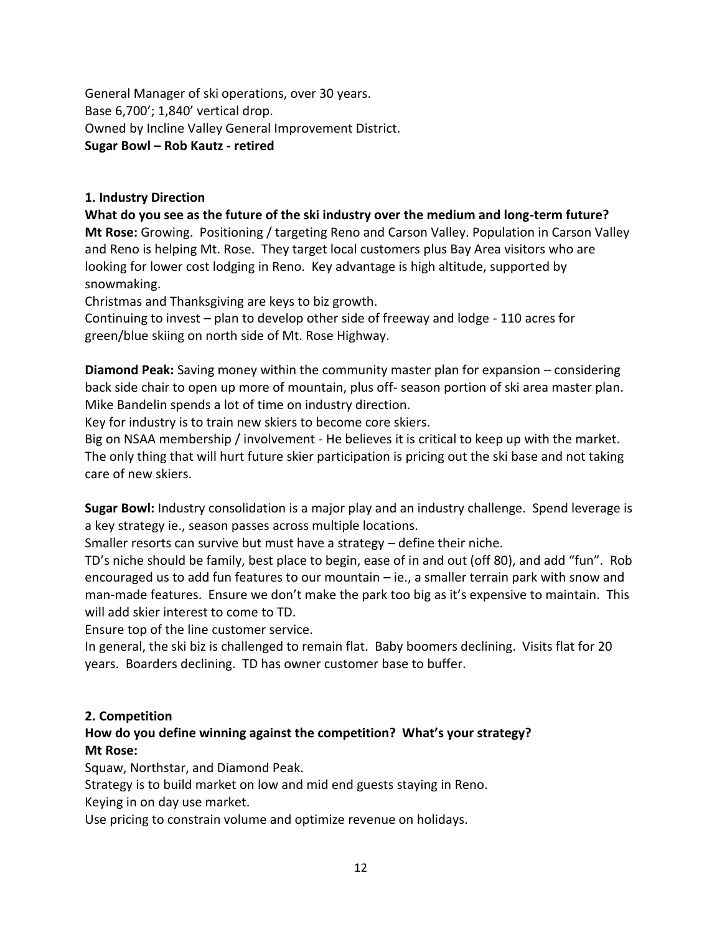General Manager of ski operations, over 30 years. Base 6,700'; 1,840' vertical drop. Owned by Incline Valley General Improvement District. **Sugar Bowl – Rob Kautz - retired**

### **1. Industry Direction**

**What do you see as the future of the ski industry over the medium and long-term future? Mt Rose:** Growing. Positioning / targeting Reno and Carson Valley. Population in Carson Valley and Reno is helping Mt. Rose. They target local customers plus Bay Area visitors who are looking for lower cost lodging in Reno. Key advantage is high altitude, supported by snowmaking.

Christmas and Thanksgiving are keys to biz growth.

Continuing to invest – plan to develop other side of freeway and lodge - 110 acres for green/blue skiing on north side of Mt. Rose Highway.

**Diamond Peak:** Saving money within the community master plan for expansion – considering back side chair to open up more of mountain, plus off- season portion of ski area master plan. Mike Bandelin spends a lot of time on industry direction.

Key for industry is to train new skiers to become core skiers.

Big on NSAA membership / involvement - He believes it is critical to keep up with the market. The only thing that will hurt future skier participation is pricing out the ski base and not taking care of new skiers.

**Sugar Bowl:** Industry consolidation is a major play and an industry challenge. Spend leverage is a key strategy ie., season passes across multiple locations.

Smaller resorts can survive but must have a strategy – define their niche.

TD's niche should be family, best place to begin, ease of in and out (off 80), and add "fun". Rob encouraged us to add fun features to our mountain – ie., a smaller terrain park with snow and man-made features. Ensure we don't make the park too big as it's expensive to maintain. This will add skier interest to come to TD.

Ensure top of the line customer service.

In general, the ski biz is challenged to remain flat. Baby boomers declining. Visits flat for 20 years. Boarders declining. TD has owner customer base to buffer.

#### **2. Competition**

## **How do you define winning against the competition? What's your strategy? Mt Rose:**

Squaw, Northstar, and Diamond Peak.

Strategy is to build market on low and mid end guests staying in Reno.

Keying in on day use market.

Use pricing to constrain volume and optimize revenue on holidays.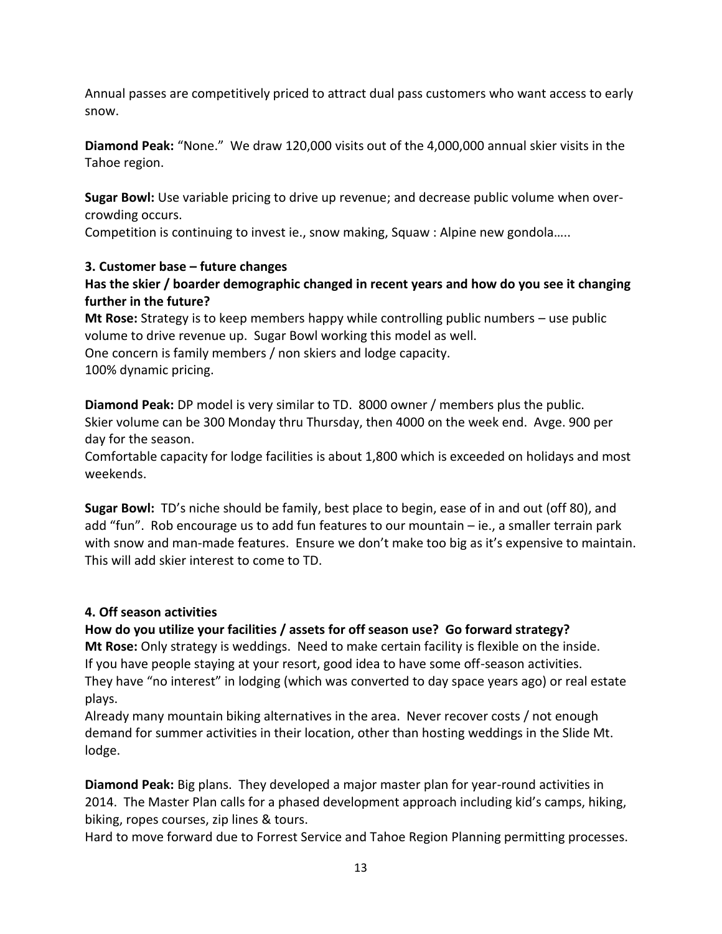Annual passes are competitively priced to attract dual pass customers who want access to early snow.

**Diamond Peak:** "None." We draw 120,000 visits out of the 4,000,000 annual skier visits in the Tahoe region.

**Sugar Bowl:** Use variable pricing to drive up revenue; and decrease public volume when overcrowding occurs.

Competition is continuing to invest ie., snow making, Squaw : Alpine new gondola…..

## **3. Customer base – future changes**

## **Has the skier / boarder demographic changed in recent years and how do you see it changing further in the future?**

**Mt Rose:** Strategy is to keep members happy while controlling public numbers – use public volume to drive revenue up. Sugar Bowl working this model as well. One concern is family members / non skiers and lodge capacity. 100% dynamic pricing.

**Diamond Peak:** DP model is very similar to TD. 8000 owner / members plus the public. Skier volume can be 300 Monday thru Thursday, then 4000 on the week end. Avge. 900 per day for the season.

Comfortable capacity for lodge facilities is about 1,800 which is exceeded on holidays and most weekends.

**Sugar Bowl:** TD's niche should be family, best place to begin, ease of in and out (off 80), and add "fun". Rob encourage us to add fun features to our mountain – ie., a smaller terrain park with snow and man-made features. Ensure we don't make too big as it's expensive to maintain. This will add skier interest to come to TD.

## **4. Off season activities**

## **How do you utilize your facilities / assets for off season use? Go forward strategy?**

**Mt Rose:** Only strategy is weddings. Need to make certain facility is flexible on the inside. If you have people staying at your resort, good idea to have some off-season activities. They have "no interest" in lodging (which was converted to day space years ago) or real estate plays.

Already many mountain biking alternatives in the area. Never recover costs / not enough demand for summer activities in their location, other than hosting weddings in the Slide Mt. lodge.

**Diamond Peak:** Big plans. They developed a major master plan for year-round activities in 2014. The Master Plan calls for a phased development approach including kid's camps, hiking, biking, ropes courses, zip lines & tours.

Hard to move forward due to Forrest Service and Tahoe Region Planning permitting processes.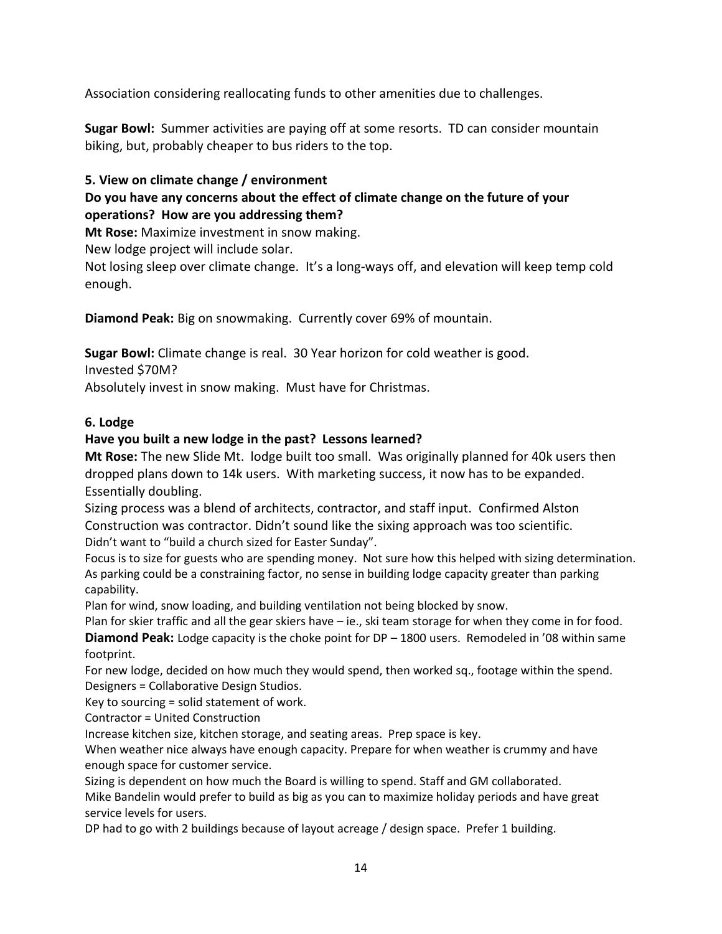Association considering reallocating funds to other amenities due to challenges.

**Sugar Bowl:** Summer activities are paying off at some resorts. TD can consider mountain biking, but, probably cheaper to bus riders to the top.

### **5. View on climate change / environment**

## **Do you have any concerns about the effect of climate change on the future of your operations? How are you addressing them?**

**Mt Rose:** Maximize investment in snow making.

New lodge project will include solar.

Not losing sleep over climate change. It's a long-ways off, and elevation will keep temp cold enough.

**Diamond Peak:** Big on snowmaking. Currently cover 69% of mountain.

**Sugar Bowl:** Climate change is real. 30 Year horizon for cold weather is good.

Invested \$70M?

Absolutely invest in snow making. Must have for Christmas.

### **6. Lodge**

### **Have you built a new lodge in the past? Lessons learned?**

**Mt Rose:** The new Slide Mt. lodge built too small. Was originally planned for 40k users then dropped plans down to 14k users. With marketing success, it now has to be expanded. Essentially doubling.

Sizing process was a blend of architects, contractor, and staff input. Confirmed Alston Construction was contractor. Didn't sound like the sixing approach was too scientific. Didn't want to "build a church sized for Easter Sunday".

Focus is to size for guests who are spending money. Not sure how this helped with sizing determination. As parking could be a constraining factor, no sense in building lodge capacity greater than parking capability.

Plan for wind, snow loading, and building ventilation not being blocked by snow.

Plan for skier traffic and all the gear skiers have – ie., ski team storage for when they come in for food. **Diamond Peak:** Lodge capacity is the choke point for DP – 1800 users. Remodeled in '08 within same footprint.

For new lodge, decided on how much they would spend, then worked sq., footage within the spend. Designers = Collaborative Design Studios.

Key to sourcing = solid statement of work.

Contractor = United Construction

Increase kitchen size, kitchen storage, and seating areas. Prep space is key.

When weather nice always have enough capacity. Prepare for when weather is crummy and have enough space for customer service.

Sizing is dependent on how much the Board is willing to spend. Staff and GM collaborated.

Mike Bandelin would prefer to build as big as you can to maximize holiday periods and have great service levels for users.

DP had to go with 2 buildings because of layout acreage / design space. Prefer 1 building.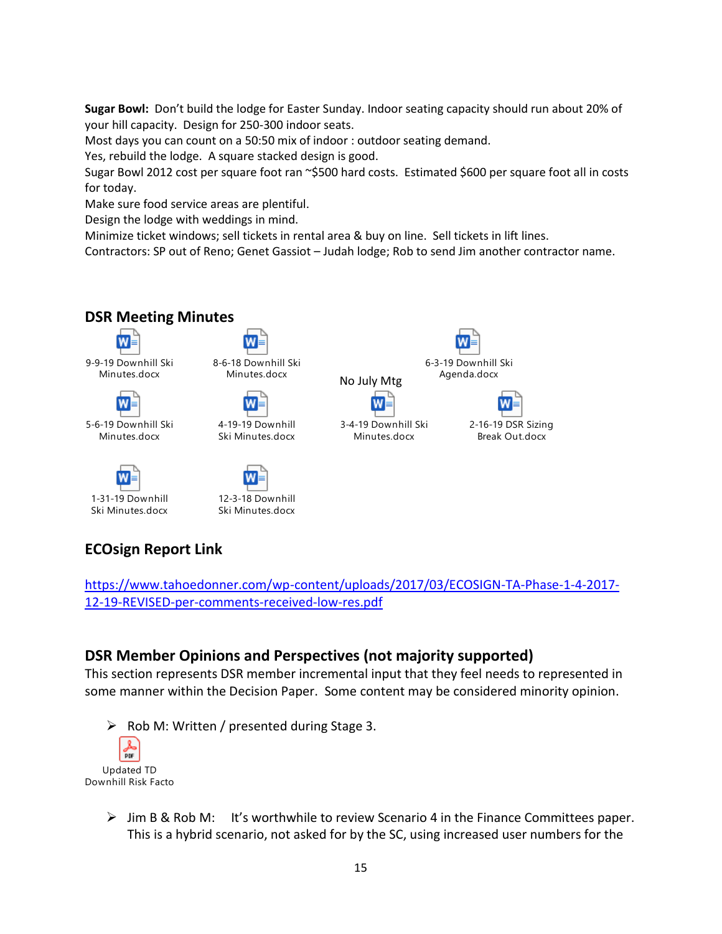**Sugar Bowl:** Don't build the lodge for Easter Sunday. Indoor seating capacity should run about 20% of your hill capacity. Design for 250-300 indoor seats.

Most days you can count on a 50:50 mix of indoor : outdoor seating demand.

Yes, rebuild the lodge. A square stacked design is good.

Sugar Bowl 2012 cost per square foot ran ~\$500 hard costs. Estimated \$600 per square foot all in costs for today.

Make sure food service areas are plentiful.

Design the lodge with weddings in mind.

Minimize ticket windows; sell tickets in rental area & buy on line. Sell tickets in lift lines.

Contractors: SP out of Reno; Genet Gassiot – Judah lodge; Rob to send Jim another contractor name.



# **ECOsign Report Link**

[https://www.tahoedonner.com/wp-content/uploads/2017/03/ECOSIGN-TA-Phase-1-4-2017-](https://www.tahoedonner.com/wp-content/uploads/2017/03/ECOSIGN-TA-Phase-1-4-2017-12-19-REVISED-per-comments-received-low-res.pdf) [12-19-REVISED-per-comments-received-low-res.pdf](https://www.tahoedonner.com/wp-content/uploads/2017/03/ECOSIGN-TA-Phase-1-4-2017-12-19-REVISED-per-comments-received-low-res.pdf)

## **DSR Member Opinions and Perspectives (not majority supported)**

This section represents DSR member incremental input that they feel needs to represented in some manner within the Decision Paper. Some content may be considered minority opinion.

➢ Rob M: Written / presented during Stage 3. **DDF** Updated TD Downhill Risk Facto

➢ Jim B & Rob M: It's worthwhile to review Scenario 4 in the Finance Committees paper. This is a hybrid scenario, not asked for by the SC, using increased user numbers for the